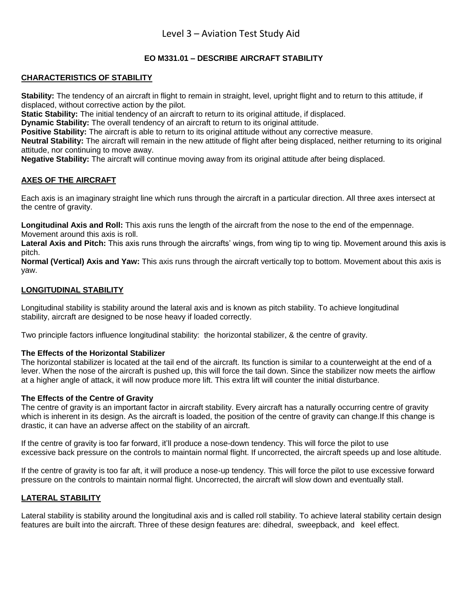# **EO M331.01 – DESCRIBE AIRCRAFT STABILITY**

### **CHARACTERISTICS OF STABILITY**

**Stability:** The tendency of an aircraft in flight to remain in straight, level, upright flight and to return to this attitude, if displaced, without corrective action by the pilot.

**Static Stability:** The initial tendency of an aircraft to return to its original attitude, if displaced.

**Dynamic Stability:** The overall tendency of an aircraft to return to its original attitude.

**Positive Stability:** The aircraft is able to return to its original attitude without any corrective measure.

**Neutral Stability:** The aircraft will remain in the new attitude of flight after being displaced, neither returning to its original attitude, nor continuing to move away.

**Negative Stability:** The aircraft will continue moving away from its original attitude after being displaced.

### **AXES OF THE AIRCRAFT**

Each axis is an imaginary straight line which runs through the aircraft in a particular direction. All three axes intersect at the centre of gravity.

**Longitudinal Axis and Roll:** This axis runs the length of the aircraft from the nose to the end of the empennage. Movement around this axis is roll.

Lateral Axis and Pitch: This axis runs through the aircrafts' wings, from wing tip to wing tip. Movement around this axis is pitch.

**Normal (Vertical) Axis and Yaw:** This axis runs through the aircraft vertically top to bottom. Movement about this axis is yaw.

# **LONGITUDINAL STABILITY**

Longitudinal stability is stability around the lateral axis and is known as pitch stability. To achieve longitudinal stability, aircraft are designed to be nose heavy if loaded correctly.

Two principle factors influence longitudinal stability: the horizontal stabilizer, & the centre of gravity.

### **The Effects of the Horizontal Stabilizer**

The horizontal stabilizer is located at the tail end of the aircraft. Its function is similar to a counterweight at the end of a lever. When the nose of the aircraft is pushed up, this will force the tail down. Since the stabilizer now meets the airflow at a higher angle of attack, it will now produce more lift. This extra lift will counter the initial disturbance.

### **The Effects of the Centre of Gravity**

The centre of gravity is an important factor in aircraft stability. Every aircraft has a naturally occurring centre of gravity which is inherent in its design. As the aircraft is loaded, the position of the centre of gravity can change.If this change is drastic, it can have an adverse affect on the stability of an aircraft.

If the centre of gravity is too far forward, it'll produce a nose-down tendency. This will force the pilot to use excessive back pressure on the controls to maintain normal flight. If uncorrected, the aircraft speeds up and lose altitude.

If the centre of gravity is too far aft, it will produce a nose-up tendency. This will force the pilot to use excessive forward pressure on the controls to maintain normal flight. Uncorrected, the aircraft will slow down and eventually stall.

# **LATERAL STABILITY**

Lateral stability is stability around the longitudinal axis and is called roll stability. To achieve lateral stability certain design features are built into the aircraft. Three of these design features are: dihedral, sweepback, and keel effect.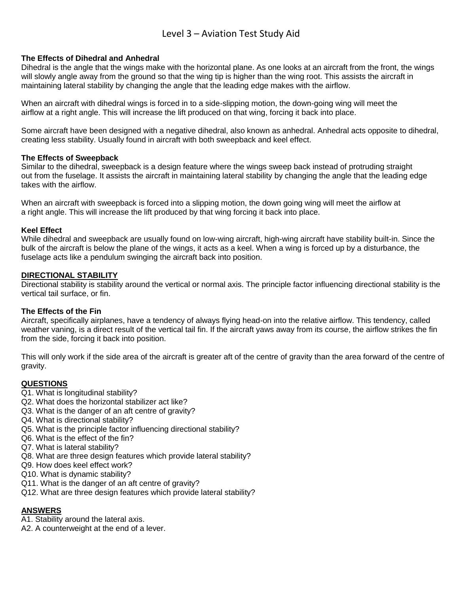### **The Effects of Dihedral and Anhedral**

Dihedral is the angle that the wings make with the horizontal plane. As one looks at an aircraft from the front, the wings will slowly angle away from the ground so that the wing tip is higher than the wing root. This assists the aircraft in maintaining lateral stability by changing the angle that the leading edge makes with the airflow.

When an aircraft with dihedral wings is forced in to a side-slipping motion, the down-going wing will meet the airflow at a right angle. This will increase the lift produced on that wing, forcing it back into place.

Some aircraft have been designed with a negative dihedral, also known as anhedral. Anhedral acts opposite to dihedral, creating less stability. Usually found in aircraft with both sweepback and keel effect.

#### **The Effects of Sweepback**

Similar to the dihedral, sweepback is a design feature where the wings sweep back instead of protruding straight out from the fuselage. It assists the aircraft in maintaining lateral stability by changing the angle that the leading edge takes with the airflow.

When an aircraft with sweepback is forced into a slipping motion, the down going wing will meet the airflow at a right angle. This will increase the lift produced by that wing forcing it back into place.

#### **Keel Effect**

While dihedral and sweepback are usually found on low-wing aircraft, high-wing aircraft have stability built-in. Since the bulk of the aircraft is below the plane of the wings, it acts as a keel. When a wing is forced up by a disturbance, the fuselage acts like a pendulum swinging the aircraft back into position.

#### **DIRECTIONAL STABILITY**

Directional stability is stability around the vertical or normal axis. The principle factor influencing directional stability is the vertical tail surface, or fin.

#### **The Effects of the Fin**

Aircraft, specifically airplanes, have a tendency of always flying head-on into the relative airflow. This tendency, called weather vaning, is a direct result of the vertical tail fin. If the aircraft yaws away from its course, the airflow strikes the fin from the side, forcing it back into position.

This will only work if the side area of the aircraft is greater aft of the centre of gravity than the area forward of the centre of gravity.

#### **QUESTIONS**

- Q1. What is longitudinal stability?
- Q2. What does the horizontal stabilizer act like?
- Q3. What is the danger of an aft centre of gravity?
- Q4. What is directional stability?
- Q5. What is the principle factor influencing directional stability?
- Q6. What is the effect of the fin?
- Q7. What is lateral stability?
- Q8. What are three design features which provide lateral stability?
- Q9. How does keel effect work?
- Q10. What is dynamic stability?
- Q11. What is the danger of an aft centre of gravity?
- Q12. What are three design features which provide lateral stability?

### **ANSWERS**

- A1. Stability around the lateral axis.
- A2. A counterweight at the end of a lever.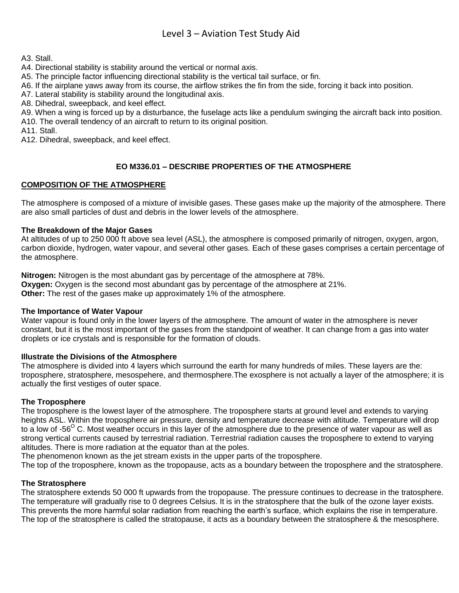A3. Stall.

A4. Directional stability is stability around the vertical or normal axis.

A5. The principle factor influencing directional stability is the vertical tail surface, or fin.

A6. If the airplane yaws away from its course, the airflow strikes the fin from the side, forcing it back into position.

A7. Lateral stability is stability around the longitudinal axis.

A8. Dihedral, sweepback, and keel effect.

A9. When a wing is forced up by a disturbance, the fuselage acts like a pendulum swinging the aircraft back into position. A10. The overall tendency of an aircraft to return to its original position.

A11. Stall.

A12. Dihedral, sweepback, and keel effect.

# **EO M336.01 – DESCRIBE PROPERTIES OF THE ATMOSPHERE**

### **COMPOSITION OF THE ATMOSPHERE**

The atmosphere is composed of a mixture of invisible gases. These gases make up the majority of the atmosphere. There are also small particles of dust and debris in the lower levels of the atmosphere.

### **The Breakdown of the Major Gases**

At altitudes of up to 250 000 ft above sea level (ASL), the atmosphere is composed primarily of nitrogen, oxygen, argon, carbon dioxide, hydrogen, water vapour, and several other gases. Each of these gases comprises a certain percentage of the atmosphere.

**Nitrogen:** Nitrogen is the most abundant gas by percentage of the atmosphere at 78%. **Oxygen:** Oxygen is the second most abundant gas by percentage of the atmosphere at 21%. **Other:** The rest of the gases make up approximately 1% of the atmosphere.

#### **The Importance of Water Vapour**

Water vapour is found only in the lower layers of the atmosphere. The amount of water in the atmosphere is never constant, but it is the most important of the gases from the standpoint of weather. It can change from a gas into water droplets or ice crystals and is responsible for the formation of clouds.

#### **Illustrate the Divisions of the Atmosphere**

The atmosphere is divided into 4 layers which surround the earth for many hundreds of miles. These layers are the: troposphere, stratosphere, mesospehere, and thermosphere.The exosphere is not actually a layer of the atmosphere; it is actually the first vestiges of outer space.

### **The Troposphere**

The troposphere is the lowest layer of the atmosphere. The troposphere starts at ground level and extends to varying heights ASL. Within the troposphere air pressure, density and temperature decrease with altitude. Temperature will drop to a low of -56<sup>O</sup> C. Most weather occurs in this layer of the atmosphere due to the presence of water vapour as well as strong vertical currents caused by terrestrial radiation. Terrestrial radiation causes the troposphere to extend to varying altitudes. There is more radiation at the equator than at the poles.

The phenomenon known as the jet stream exists in the upper parts of the troposphere.

The top of the troposphere, known as the tropopause, acts as a boundary between the troposphere and the stratosphere.

### **The Stratosphere**

The stratosphere extends 50 000 ft upwards from the tropopause. The pressure continues to decrease in the tratosphere. The temperature will gradually rise to 0 degrees Celsius. It is in the stratosphere that the bulk of the ozone layer exists. This prevents the more harmful solar radiation from reaching the earth's surface, which explains the rise in temperature. The top of the stratosphere is called the stratopause, it acts as a boundary between the stratosphere & the mesosphere.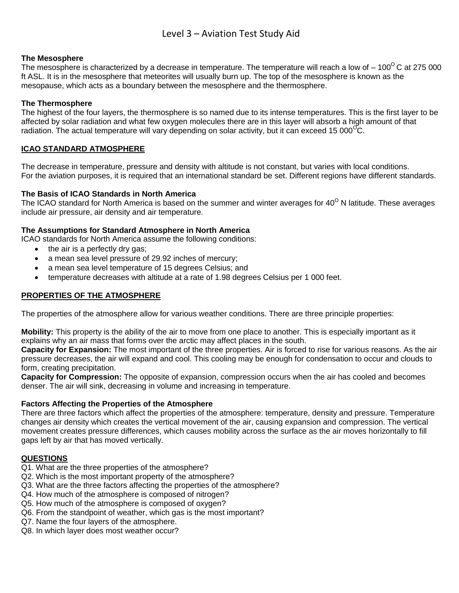#### **The Mesosphere**

The mesosphere is characterized by a decrease in temperature. The temperature will reach a low of – 100<sup>0</sup>C at 275 000 ft ASL. It is in the mesosphere that meteorites will usually burn up. The top of the mesosphere is known as the mesopause, which acts as a boundary between the mesosphere and the thermosphere.

#### **The Thermosphere**

The highest of the four layers, the thermosphere is so named due to its intense temperatures. This is the first layer to be affected by solar radiation and what few oxygen molecules there are in this layer will absorb a high amount of that radiation. The actual temperature will vary depending on solar activity, but it can exceed 15 000<sup>O</sup>C.

#### **ICAO STANDARD ATMOSPHERE**

The decrease in temperature, pressure and density with altitude is not constant, but varies with local conditions. For the aviation purposes, it is required that an international standard be set. Different regions have different standards.

### **The Basis of ICAO Standards in North America**

The ICAO standard for North America is based on the summer and winter averages for 40<sup>o</sup> N latitude. These averages include air pressure, air density and air temperature.

#### **The Assumptions for Standard Atmosphere in North America**

ICAO standards for North America assume the following conditions:

- the air is a perfectly dry gas;
- a mean sea level pressure of 29.92 inches of mercury;
- a mean sea level temperature of 15 degrees Celsius; and
- temperature decreases with altitude at a rate of 1.98 degrees Celsius per 1 000 feet.

#### **PROPERTIES OF THE ATMOSPHERE**

The properties of the atmosphere allow for various weather conditions. There are three principle properties:

**Mobility:** This property is the ability of the air to move from one place to another. This is especially important as it explains why an air mass that forms over the arctic may affect places in the south.

**Capacity for Expansion:** The most important of the three properties. Air is forced to rise for various reasons. As the air pressure decreases, the air will expand and cool. This cooling may be enough for condensation to occur and clouds to form, creating precipitation.

**Capacity for Compression:** The opposite of expansion, compression occurs when the air has cooled and becomes denser. The air will sink, decreasing in volume and increasing in temperature.

### **Factors Affecting the Properties of the Atmosphere**

There are three factors which affect the properties of the atmosphere: temperature, density and pressure. Temperature changes air density which creates the vertical movement of the air, causing expansion and compression. The vertical movement creates pressure differences, which causes mobility across the surface as the air moves horizontally to fill gaps left by air that has moved vertically.

#### **QUESTIONS**

- Q1. What are the three properties of the atmosphere?
- Q2. Which is the most important property of the atmosphere?
- Q3. What are the three factors affecting the properties of the atmosphere?
- Q4. How much of the atmosphere is composed of nitrogen?
- Q5. How much of the atmosphere is composed of oxygen?
- Q6. From the standpoint of weather, which gas is the most important?
- Q7. Name the four layers of the atmosphere.
- Q8. In which layer does most weather occur?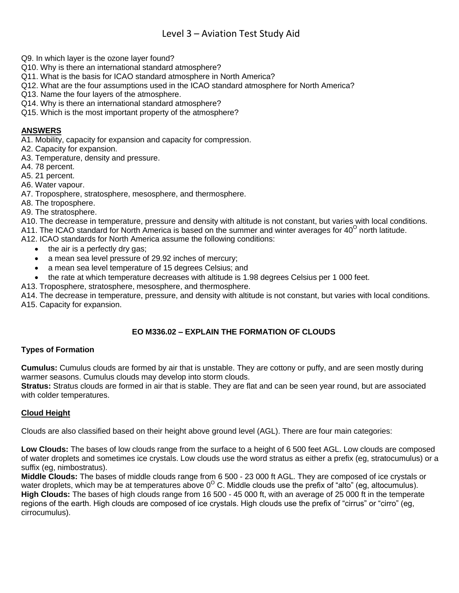- Q9. In which layer is the ozone layer found?
- Q10. Why is there an international standard atmosphere?
- Q11. What is the basis for ICAO standard atmosphere in North America?
- Q12. What are the four assumptions used in the ICAO standard atmosphere for North America?
- Q13. Name the four layers of the atmosphere.
- Q14. Why is there an international standard atmosphere?
- Q15. Which is the most important property of the atmosphere?

#### **ANSWERS**

A1. Mobility, capacity for expansion and capacity for compression.

- A2. Capacity for expansion.
- A3. Temperature, density and pressure.
- A4. 78 percent.
- A5. 21 percent.
- A6. Water vapour.
- A7. Troposphere, stratosphere, mesosphere, and thermosphere.
- A8. The troposphere.
- A9. The stratosphere.
- A10. The decrease in temperature, pressure and density with altitude is not constant, but varies with local conditions.
- A11. The ICAO standard for North America is based on the summer and winter averages for 40<sup>o</sup> north latitude.
- A12. ICAO standards for North America assume the following conditions:
	- $\bullet$  the air is a perfectly dry gas;
	- a mean sea level pressure of 29.92 inches of mercury;
	- a mean sea level temperature of 15 degrees Celsius; and
	- the rate at which temperature decreases with altitude is 1.98 degrees Celsius per 1 000 feet.
- A13. Troposphere, stratosphere, mesosphere, and thermosphere.

A14. The decrease in temperature, pressure, and density with altitude is not constant, but varies with local conditions. A15. Capacity for expansion.

# **EO M336.02 – EXPLAIN THE FORMATION OF CLOUDS**

### **Types of Formation**

**Cumulus:** Cumulus clouds are formed by air that is unstable. They are cottony or puffy, and are seen mostly during warmer seasons. Cumulus clouds may develop into storm clouds.

**Stratus:** Stratus clouds are formed in air that is stable. They are flat and can be seen year round, but are associated with colder temperatures.

### **Cloud Height**

Clouds are also classified based on their height above ground level (AGL). There are four main categories:

**Low Clouds:** The bases of low clouds range from the surface to a height of 6 500 feet AGL. Low clouds are composed of water droplets and sometimes ice crystals. Low clouds use the word stratus as either a prefix (eg, stratocumulus) or a suffix (eg, nimbostratus).

**Middle Clouds:** The bases of middle clouds range from 6 500 - 23 000 ft AGL. They are composed of ice crystals or water droplets, which may be at temperatures above  $0^{\circ}$  C. Middle clouds use the prefix of "alto" (eq, altocumulus). **High Clouds:** The bases of high clouds range from 16 500 - 45 000 ft, with an average of 25 000 ft in the temperate regions of the earth. High clouds are composed of ice crystals. High clouds use the prefix of "cirrus" or "cirro" (eg, cirrocumulus).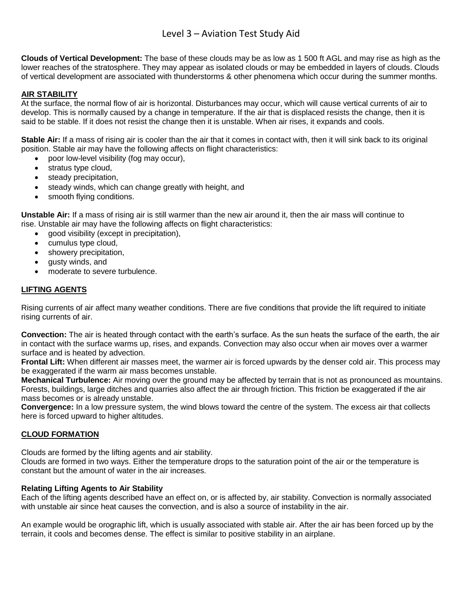**Clouds of Vertical Development:** The base of these clouds may be as low as 1 500 ft AGL and may rise as high as the lower reaches of the stratosphere. They may appear as isolated clouds or may be embedded in layers of clouds. Clouds of vertical development are associated with thunderstorms & other phenomena which occur during the summer months.

# **AIR STABILITY**

At the surface, the normal flow of air is horizontal. Disturbances may occur, which will cause vertical currents of air to develop. This is normally caused by a change in temperature. If the air that is displaced resists the change, then it is said to be stable. If it does not resist the change then it is unstable. When air rises, it expands and cools.

**Stable Air:** If a mass of rising air is cooler than the air that it comes in contact with, then it will sink back to its original position. Stable air may have the following affects on flight characteristics:

- poor low-level visibility (fog may occur),
- stratus type cloud,
- steady precipitation,
- steady winds, which can change greatly with height, and
- smooth flying conditions.

**Unstable Air:** If a mass of rising air is still warmer than the new air around it, then the air mass will continue to rise. Unstable air may have the following affects on flight characteristics:

- good visibility (except in precipitation),
- cumulus type cloud,
- showery precipitation,
- gusty winds, and
- moderate to severe turbulence.

#### **LIFTING AGENTS**

Rising currents of air affect many weather conditions. There are five conditions that provide the lift required to initiate rising currents of air.

**Convection:** The air is heated through contact with the earth's surface. As the sun heats the surface of the earth, the air in contact with the surface warms up, rises, and expands. Convection may also occur when air moves over a warmer surface and is heated by advection.

**Frontal Lift:** When different air masses meet, the warmer air is forced upwards by the denser cold air. This process may be exaggerated if the warm air mass becomes unstable.

**Mechanical Turbulence:** Air moving over the ground may be affected by terrain that is not as pronounced as mountains. Forests, buildings, large ditches and quarries also affect the air through friction. This friction be exaggerated if the air mass becomes or is already unstable.

**Convergence:** In a low pressure system, the wind blows toward the centre of the system. The excess air that collects here is forced upward to higher altitudes.

#### **CLOUD FORMATION**

Clouds are formed by the lifting agents and air stability.

Clouds are formed in two ways. Either the temperature drops to the saturation point of the air or the temperature is constant but the amount of water in the air increases.

#### **Relating Lifting Agents to Air Stability**

Each of the lifting agents described have an effect on, or is affected by, air stability. Convection is normally associated with unstable air since heat causes the convection, and is also a source of instability in the air.

An example would be orographic lift, which is usually associated with stable air. After the air has been forced up by the terrain, it cools and becomes dense. The effect is similar to positive stability in an airplane.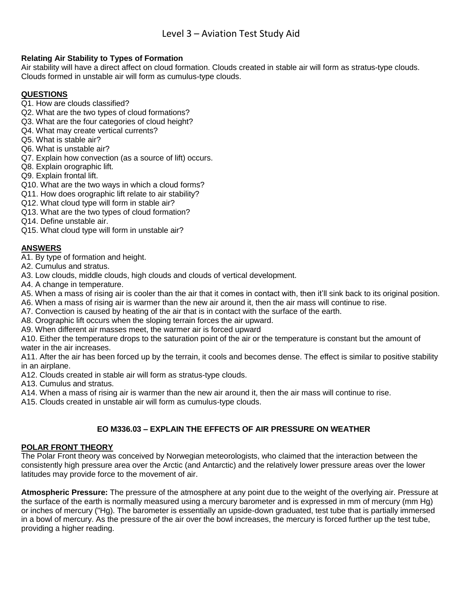### **Relating Air Stability to Types of Formation**

Air stability will have a direct affect on cloud formation. Clouds created in stable air will form as stratus-type clouds. Clouds formed in unstable air will form as cumulus-type clouds.

# **QUESTIONS**

- Q1. How are clouds classified?
- Q2. What are the two types of cloud formations?
- Q3. What are the four categories of cloud height?
- Q4. What may create vertical currents?
- Q5. What is stable air?
- Q6. What is unstable air?
- Q7. Explain how convection (as a source of lift) occurs.
- Q8. Explain orographic lift.
- Q9. Explain frontal lift.
- Q10. What are the two ways in which a cloud forms?
- Q11. How does orographic lift relate to air stability?
- Q12. What cloud type will form in stable air?
- Q13. What are the two types of cloud formation?
- Q14. Define unstable air.
- Q15. What cloud type will form in unstable air?

### **ANSWERS**

- A1. By type of formation and height.
- A2. Cumulus and stratus.
- A3. Low clouds, middle clouds, high clouds and clouds of vertical development.
- A4. A change in temperature.
- A5. When a mass of rising air is cooler than the air that it comes in contact with, then it'll sink back to its original position.
- A6. When a mass of rising air is warmer than the new air around it, then the air mass will continue to rise.
- A7. Convection is caused by heating of the air that is in contact with the surface of the earth.
- A8. Orographic lift occurs when the sloping terrain forces the air upward.
- A9. When different air masses meet, the warmer air is forced upward

A10. Either the temperature drops to the saturation point of the air or the temperature is constant but the amount of water in the air increases.

A11. After the air has been forced up by the terrain, it cools and becomes dense. The effect is similar to positive stability in an airplane.

A12. Clouds created in stable air will form as stratus-type clouds.

A13. Cumulus and stratus.

A14. When a mass of rising air is warmer than the new air around it, then the air mass will continue to rise.

A15. Clouds created in unstable air will form as cumulus-type clouds.

### **EO M336.03 – EXPLAIN THE EFFECTS OF AIR PRESSURE ON WEATHER**

### **POLAR FRONT THEORY**

The Polar Front theory was conceived by Norwegian meteorologists, who claimed that the interaction between the consistently high pressure area over the Arctic (and Antarctic) and the relatively lower pressure areas over the lower latitudes may provide force to the movement of air.

**Atmospheric Pressure:** The pressure of the atmosphere at any point due to the weight of the overlying air. Pressure at the surface of the earth is normally measured using a mercury barometer and is expressed in mm of mercury (mm Hg) or inches of mercury ("Hg). The barometer is essentially an upside-down graduated, test tube that is partially immersed in a bowl of mercury. As the pressure of the air over the bowl increases, the mercury is forced further up the test tube, providing a higher reading.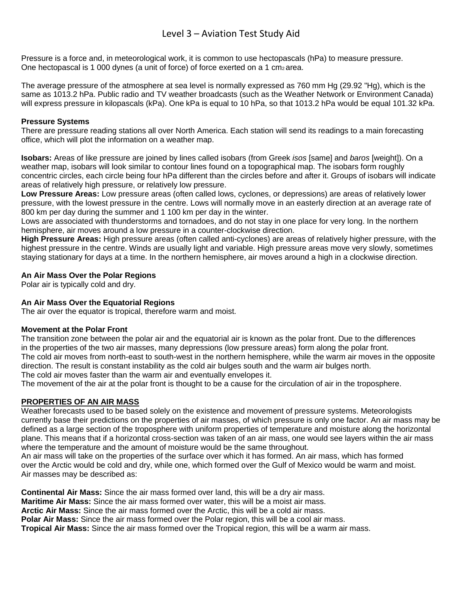Pressure is a force and, in meteorological work, it is common to use hectopascals (hPa) to measure pressure. One hectopascal is 1 000 dynes (a unit of force) of force exerted on a 1 cm $_2$  area.

The average pressure of the atmosphere at sea level is normally expressed as 760 mm Hg (29.92 "Hg), which is the same as 1013.2 hPa. Public radio and TV weather broadcasts (such as the Weather Network or Environment Canada) will express pressure in kilopascals (kPa). One kPa is equal to 10 hPa, so that 1013.2 hPa would be equal 101.32 kPa.

### **Pressure Systems**

There are pressure reading stations all over North America. Each station will send its readings to a main forecasting office, which will plot the information on a weather map.

**Isobars:** Areas of like pressure are joined by lines called isobars (from Greek *isos* [same] and *baros* [weight]). On a weather map, isobars will look similar to contour lines found on a topographical map. The isobars form roughly concentric circles, each circle being four hPa different than the circles before and after it. Groups of isobars will indicate areas of relatively high pressure, or relatively low pressure.

**Low Pressure Areas:** Low pressure areas (often called lows, cyclones, or depressions) are areas of relatively lower pressure, with the lowest pressure in the centre. Lows will normally move in an easterly direction at an average rate of 800 km per day during the summer and 1 100 km per day in the winter.

Lows are associated with thunderstorms and tornadoes, and do not stay in one place for very long. In the northern hemisphere, air moves around a low pressure in a counter-clockwise direction.

**High Pressure Areas:** High pressure areas (often called anti-cyclones) are areas of relatively higher pressure, with the highest pressure in the centre. Winds are usually light and variable. High pressure areas move very slowly, sometimes staying stationary for days at a time. In the northern hemisphere, air moves around a high in a clockwise direction.

### **An Air Mass Over the Polar Regions**

Polar air is typically cold and dry.

### **An Air Mass Over the Equatorial Regions**

The air over the equator is tropical, therefore warm and moist.

### **Movement at the Polar Front**

The transition zone between the polar air and the equatorial air is known as the polar front. Due to the differences in the properties of the two air masses, many depressions (low pressure areas) form along the polar front. The cold air moves from north-east to south-west in the northern hemisphere, while the warm air moves in the opposite direction. The result is constant instability as the cold air bulges south and the warm air bulges north. The cold air moves faster than the warm air and eventually envelopes it.

The movement of the air at the polar front is thought to be a cause for the circulation of air in the troposphere.

### **PROPERTIES OF AN AIR MASS**

Weather forecasts used to be based solely on the existence and movement of pressure systems. Meteorologists currently base their predictions on the properties of air masses, of which pressure is only one factor. An air mass may be defined as a large section of the troposphere with uniform properties of temperature and moisture along the horizontal plane. This means that if a horizontal cross-section was taken of an air mass, one would see layers within the air mass where the temperature and the amount of moisture would be the same throughout.

An air mass will take on the properties of the surface over which it has formed. An air mass, which has formed over the Arctic would be cold and dry, while one, which formed over the Gulf of Mexico would be warm and moist. Air masses may be described as:

**Continental Air Mass:** Since the air mass formed over land, this will be a dry air mass. **Maritime Air Mass:** Since the air mass formed over water, this will be a moist air mass. **Arctic Air Mass:** Since the air mass formed over the Arctic, this will be a cold air mass. **Polar Air Mass:** Since the air mass formed over the Polar region, this will be a cool air mass. **Tropical Air Mass:** Since the air mass formed over the Tropical region, this will be a warm air mass.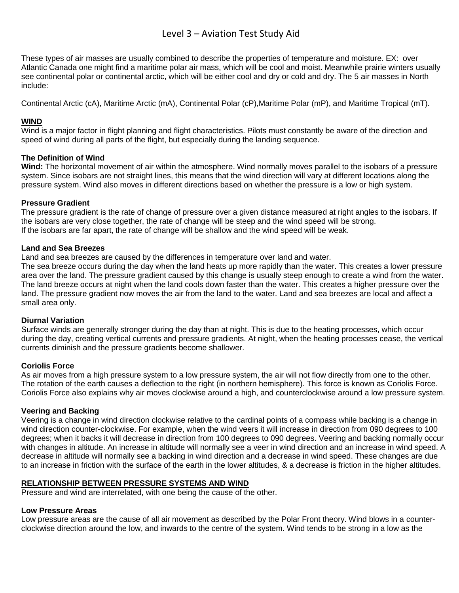These types of air masses are usually combined to describe the properties of temperature and moisture. EX: over Atlantic Canada one might find a maritime polar air mass, which will be cool and moist. Meanwhile prairie winters usually see continental polar or continental arctic, which will be either cool and dry or cold and dry. The 5 air masses in North include:

Continental Arctic (cA), Maritime Arctic (mA), Continental Polar (cP),Maritime Polar (mP), and Maritime Tropical (mT).

# **WIND**

Wind is a major factor in flight planning and flight characteristics. Pilots must constantly be aware of the direction and speed of wind during all parts of the flight, but especially during the landing sequence.

### **The Definition of Wind**

**Wind:** The horizontal movement of air within the atmosphere. Wind normally moves parallel to the isobars of a pressure system. Since isobars are not straight lines, this means that the wind direction will vary at different locations along the pressure system. Wind also moves in different directions based on whether the pressure is a low or high system.

### **Pressure Gradient**

The pressure gradient is the rate of change of pressure over a given distance measured at right angles to the isobars. If the isobars are very close together, the rate of change will be steep and the wind speed will be strong. If the isobars are far apart, the rate of change will be shallow and the wind speed will be weak.

#### **Land and Sea Breezes**

Land and sea breezes are caused by the differences in temperature over land and water.

The sea breeze occurs during the day when the land heats up more rapidly than the water. This creates a lower pressure area over the land. The pressure gradient caused by this change is usually steep enough to create a wind from the water. The land breeze occurs at night when the land cools down faster than the water. This creates a higher pressure over the land. The pressure gradient now moves the air from the land to the water. Land and sea breezes are local and affect a small area only.

### **Diurnal Variation**

Surface winds are generally stronger during the day than at night. This is due to the heating processes, which occur during the day, creating vertical currents and pressure gradients. At night, when the heating processes cease, the vertical currents diminish and the pressure gradients become shallower.

### **Coriolis Force**

As air moves from a high pressure system to a low pressure system, the air will not flow directly from one to the other. The rotation of the earth causes a deflection to the right (in northern hemisphere). This force is known as Coriolis Force. Coriolis Force also explains why air moves clockwise around a high, and counterclockwise around a low pressure system.

### **Veering and Backing**

Veering is a change in wind direction clockwise relative to the cardinal points of a compass while backing is a change in wind direction counter-clockwise. For example, when the wind veers it will increase in direction from 090 degrees to 100 degrees; when it backs it will decrease in direction from 100 degrees to 090 degrees. Veering and backing normally occur with changes in altitude. An increase in altitude will normally see a veer in wind direction and an increase in wind speed. A decrease in altitude will normally see a backing in wind direction and a decrease in wind speed. These changes are due to an increase in friction with the surface of the earth in the lower altitudes, & a decrease is friction in the higher altitudes.

### **RELATIONSHIP BETWEEN PRESSURE SYSTEMS AND WIND**

Pressure and wind are interrelated, with one being the cause of the other.

### **Low Pressure Areas**

Low pressure areas are the cause of all air movement as described by the Polar Front theory. Wind blows in a counterclockwise direction around the low, and inwards to the centre of the system. Wind tends to be strong in a low as the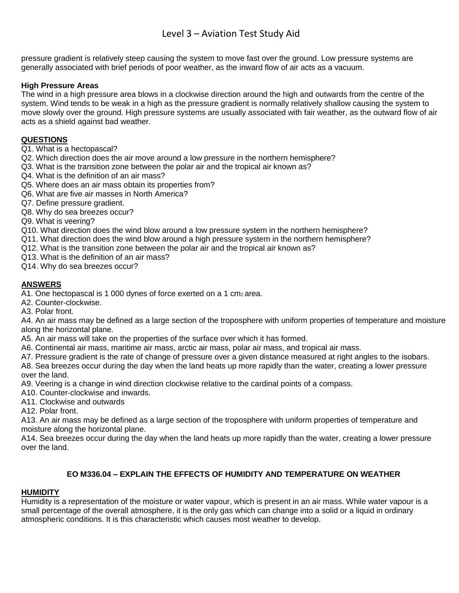pressure gradient is relatively steep causing the system to move fast over the ground. Low pressure systems are generally associated with brief periods of poor weather, as the inward flow of air acts as a vacuum.

# **High Pressure Areas**

The wind in a high pressure area blows in a clockwise direction around the high and outwards from the centre of the system. Wind tends to be weak in a high as the pressure gradient is normally relatively shallow causing the system to move slowly over the ground. High pressure systems are usually associated with fair weather, as the outward flow of air acts as a shield against bad weather.

# **QUESTIONS**

- Q1. What is a hectopascal?
- Q2. Which direction does the air move around a low pressure in the northern hemisphere?
- Q3. What is the transition zone between the polar air and the tropical air known as?
- Q4. What is the definition of an air mass?
- Q5. Where does an air mass obtain its properties from?
- Q6. What are five air masses in North America?
- Q7. Define pressure gradient.
- Q8. Why do sea breezes occur?
- Q9. What is veering?
- Q10. What direction does the wind blow around a low pressure system in the northern hemisphere?
- Q11. What direction does the wind blow around a high pressure system in the northern hemisphere?
- Q12. What is the transition zone between the polar air and the tropical air known as?
- Q13. What is the definition of an air mass?

Q14. Why do sea breezes occur?

### **ANSWERS**

A1. One hectopascal is 1 000 dynes of force exerted on a 1 cm $_2$  area.

- A2. Counter-clockwise.
- A3. Polar front.

A4. An air mass may be defined as a large section of the troposphere with uniform properties of temperature and moisture along the horizontal plane.

- A5. An air mass will take on the properties of the surface over which it has formed.
- A6. Continental air mass, maritime air mass, arctic air mass, polar air mass, and tropical air mass.
- A7. Pressure gradient is the rate of change of pressure over a given distance measured at right angles to the isobars. A8. Sea breezes occur during the day when the land heats up more rapidly than the water, creating a lower pressure

over the land.

A9. Veering is a change in wind direction clockwise relative to the cardinal points of a compass.

- A10. Counter-clockwise and inwards.
- A11. Clockwise and outwards

A12. Polar front.

A13. An air mass may be defined as a large section of the troposphere with uniform properties of temperature and moisture along the horizontal plane.

A14. Sea breezes occur during the day when the land heats up more rapidly than the water, creating a lower pressure over the land.

# **EO M336.04 – EXPLAIN THE EFFECTS OF HUMIDITY AND TEMPERATURE ON WEATHER**

### **HUMIDITY**

Humidity is a representation of the moisture or water vapour, which is present in an air mass. While water vapour is a small percentage of the overall atmosphere, it is the only gas which can change into a solid or a liquid in ordinary atmospheric conditions. It is this characteristic which causes most weather to develop.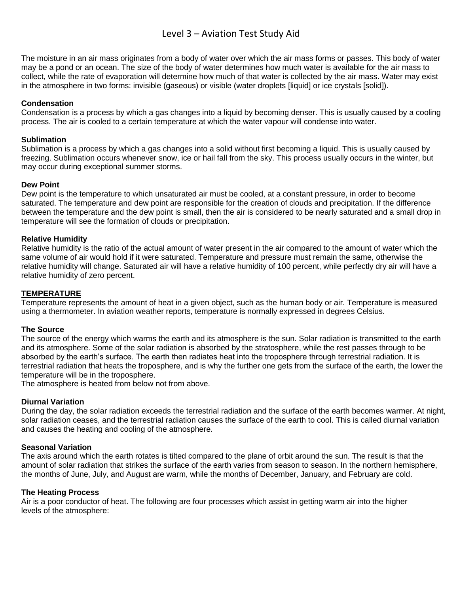The moisture in an air mass originates from a body of water over which the air mass forms or passes. This body of water may be a pond or an ocean. The size of the body of water determines how much water is available for the air mass to collect, while the rate of evaporation will determine how much of that water is collected by the air mass. Water may exist in the atmosphere in two forms: invisible (gaseous) or visible (water droplets [liquid] or ice crystals [solid]).

#### **Condensation**

Condensation is a process by which a gas changes into a liquid by becoming denser. This is usually caused by a cooling process. The air is cooled to a certain temperature at which the water vapour will condense into water.

#### **Sublimation**

Sublimation is a process by which a gas changes into a solid without first becoming a liquid. This is usually caused by freezing. Sublimation occurs whenever snow, ice or hail fall from the sky. This process usually occurs in the winter, but may occur during exceptional summer storms.

#### **Dew Point**

Dew point is the temperature to which unsaturated air must be cooled, at a constant pressure, in order to become saturated. The temperature and dew point are responsible for the creation of clouds and precipitation. If the difference between the temperature and the dew point is small, then the air is considered to be nearly saturated and a small drop in temperature will see the formation of clouds or precipitation.

#### **Relative Humidity**

Relative humidity is the ratio of the actual amount of water present in the air compared to the amount of water which the same volume of air would hold if it were saturated. Temperature and pressure must remain the same, otherwise the relative humidity will change. Saturated air will have a relative humidity of 100 percent, while perfectly dry air will have a relative humidity of zero percent.

#### **TEMPERATURE**

Temperature represents the amount of heat in a given object, such as the human body or air. Temperature is measured using a thermometer. In aviation weather reports, temperature is normally expressed in degrees Celsius.

#### **The Source**

The source of the energy which warms the earth and its atmosphere is the sun. Solar radiation is transmitted to the earth and its atmosphere. Some of the solar radiation is absorbed by the stratosphere, while the rest passes through to be absorbed by the earth's surface. The earth then radiates heat into the troposphere through terrestrial radiation. It is terrestrial radiation that heats the troposphere, and is why the further one gets from the surface of the earth, the lower the temperature will be in the troposphere.

The atmosphere is heated from below not from above.

#### **Diurnal Variation**

During the day, the solar radiation exceeds the terrestrial radiation and the surface of the earth becomes warmer. At night, solar radiation ceases, and the terrestrial radiation causes the surface of the earth to cool. This is called diurnal variation and causes the heating and cooling of the atmosphere.

#### **Seasonal Variation**

The axis around which the earth rotates is tilted compared to the plane of orbit around the sun. The result is that the amount of solar radiation that strikes the surface of the earth varies from season to season. In the northern hemisphere, the months of June, July, and August are warm, while the months of December, January, and February are cold.

#### **The Heating Process**

Air is a poor conductor of heat. The following are four processes which assist in getting warm air into the higher levels of the atmosphere: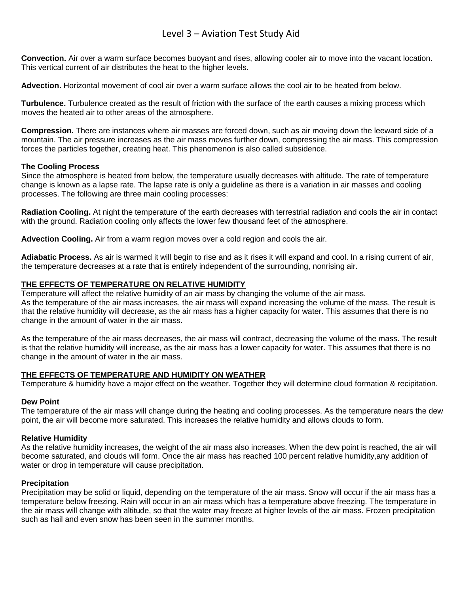**Convection.** Air over a warm surface becomes buoyant and rises, allowing cooler air to move into the vacant location. This vertical current of air distributes the heat to the higher levels.

**Advection.** Horizontal movement of cool air over a warm surface allows the cool air to be heated from below.

**Turbulence.** Turbulence created as the result of friction with the surface of the earth causes a mixing process which moves the heated air to other areas of the atmosphere.

**Compression.** There are instances where air masses are forced down, such as air moving down the leeward side of a mountain. The air pressure increases as the air mass moves further down, compressing the air mass. This compression forces the particles together, creating heat. This phenomenon is also called subsidence.

#### **The Cooling Process**

Since the atmosphere is heated from below, the temperature usually decreases with altitude. The rate of temperature change is known as a lapse rate. The lapse rate is only a guideline as there is a variation in air masses and cooling processes. The following are three main cooling processes:

**Radiation Cooling.** At night the temperature of the earth decreases with terrestrial radiation and cools the air in contact with the ground. Radiation cooling only affects the lower few thousand feet of the atmosphere.

**Advection Cooling.** Air from a warm region moves over a cold region and cools the air.

**Adiabatic Process.** As air is warmed it will begin to rise and as it rises it will expand and cool. In a rising current of air, the temperature decreases at a rate that is entirely independent of the surrounding, nonrising air.

#### **THE EFFECTS OF TEMPERATURE ON RELATIVE HUMIDITY**

Temperature will affect the relative humidity of an air mass by changing the volume of the air mass. As the temperature of the air mass increases, the air mass will expand increasing the volume of the mass. The result is that the relative humidity will decrease, as the air mass has a higher capacity for water. This assumes that there is no change in the amount of water in the air mass.

As the temperature of the air mass decreases, the air mass will contract, decreasing the volume of the mass. The result is that the relative humidity will increase, as the air mass has a lower capacity for water. This assumes that there is no change in the amount of water in the air mass.

#### **THE EFFECTS OF TEMPERATURE AND HUMIDITY ON WEATHER**

Temperature & humidity have a major effect on the weather. Together they will determine cloud formation & recipitation.

#### **Dew Point**

The temperature of the air mass will change during the heating and cooling processes. As the temperature nears the dew point, the air will become more saturated. This increases the relative humidity and allows clouds to form.

#### **Relative Humidity**

As the relative humidity increases, the weight of the air mass also increases. When the dew point is reached, the air will become saturated, and clouds will form. Once the air mass has reached 100 percent relative humidity,any addition of water or drop in temperature will cause precipitation.

#### **Precipitation**

Precipitation may be solid or liquid, depending on the temperature of the air mass. Snow will occur if the air mass has a temperature below freezing. Rain will occur in an air mass which has a temperature above freezing. The temperature in the air mass will change with altitude, so that the water may freeze at higher levels of the air mass. Frozen precipitation such as hail and even snow has been seen in the summer months.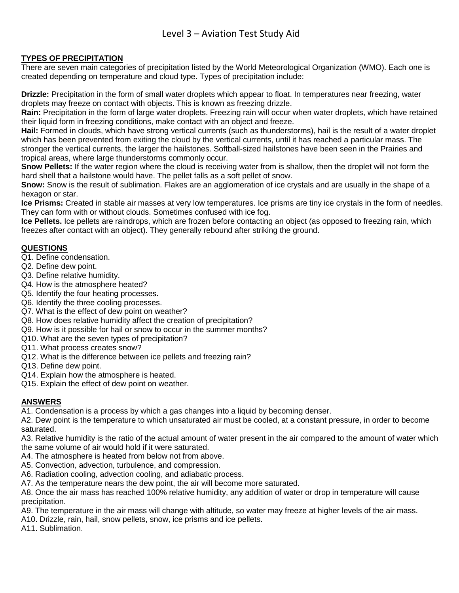#### **TYPES OF PRECIPITATION**

There are seven main categories of precipitation listed by the World Meteorological Organization (WMO). Each one is created depending on temperature and cloud type. Types of precipitation include:

**Drizzle:** Precipitation in the form of small water droplets which appear to float. In temperatures near freezing, water droplets may freeze on contact with objects. This is known as freezing drizzle.

**Rain:** Precipitation in the form of large water droplets. Freezing rain will occur when water droplets, which have retained their liquid form in freezing conditions, make contact with an object and freeze.

**Hail:** Formed in clouds, which have strong vertical currents (such as thunderstorms), hail is the result of a water droplet which has been prevented from exiting the cloud by the vertical currents, until it has reached a particular mass. The stronger the vertical currents, the larger the hailstones. Softball-sized hailstones have been seen in the Prairies and tropical areas, where large thunderstorms commonly occur.

**Snow Pellets:** If the water region where the cloud is receiving water from is shallow, then the droplet will not form the hard shell that a hailstone would have. The pellet falls as a soft pellet of snow.

**Snow:** Snow is the result of sublimation. Flakes are an agglomeration of ice crystals and are usually in the shape of a hexagon or star.

**Ice Prisms:** Created in stable air masses at very low temperatures. Ice prisms are tiny ice crystals in the form of needles. They can form with or without clouds. Sometimes confused with ice fog.

**Ice Pellets.** Ice pellets are raindrops, which are frozen before contacting an object (as opposed to freezing rain, which freezes after contact with an object). They generally rebound after striking the ground.

#### **QUESTIONS**

- Q1. Define condensation.
- Q2. Define dew point.
- Q3. Define relative humidity.
- Q4. How is the atmosphere heated?
- Q5. Identify the four heating processes.
- Q6. Identify the three cooling processes.
- Q7. What is the effect of dew point on weather?
- Q8. How does relative humidity affect the creation of precipitation?
- Q9. How is it possible for hail or snow to occur in the summer months?
- Q10. What are the seven types of precipitation?
- Q11. What process creates snow?
- Q12. What is the difference between ice pellets and freezing rain?
- Q13. Define dew point.
- Q14. Explain how the atmosphere is heated.
- Q15. Explain the effect of dew point on weather.

### **ANSWERS**

A1. Condensation is a process by which a gas changes into a liquid by becoming denser.

A2. Dew point is the temperature to which unsaturated air must be cooled, at a constant pressure, in order to become saturated.

A3. Relative humidity is the ratio of the actual amount of water present in the air compared to the amount of water which the same volume of air would hold if it were saturated.

- A4. The atmosphere is heated from below not from above.
- A5. Convection, advection, turbulence, and compression.
- A6. Radiation cooling, advection cooling, and adiabatic process.
- A7. As the temperature nears the dew point, the air will become more saturated.

A8. Once the air mass has reached 100% relative humidity, any addition of water or drop in temperature will cause precipitation.

A9. The temperature in the air mass will change with altitude, so water may freeze at higher levels of the air mass.

A10. Drizzle, rain, hail, snow pellets, snow, ice prisms and ice pellets.

A11. Sublimation.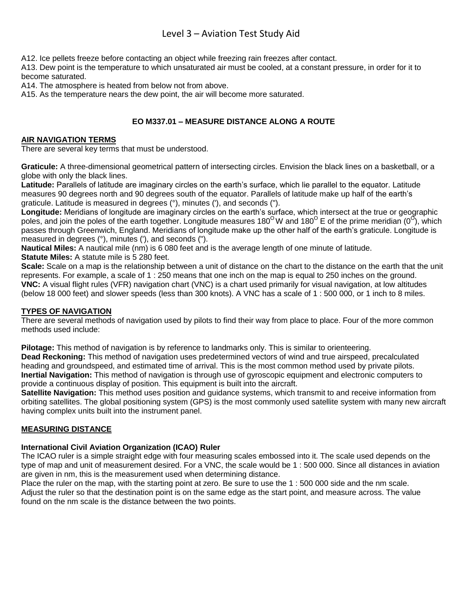A12. Ice pellets freeze before contacting an object while freezing rain freezes after contact.

A13. Dew point is the temperature to which unsaturated air must be cooled, at a constant pressure, in order for it to become saturated.

A14. The atmosphere is heated from below not from above.

A15. As the temperature nears the dew point, the air will become more saturated.

# **EO M337.01 – MEASURE DISTANCE ALONG A ROUTE**

#### **AIR NAVIGATION TERMS**

There are several key terms that must be understood.

**Graticule:** A three-dimensional geometrical pattern of intersecting circles. Envision the black lines on a basketball, or a globe with only the black lines.

**Latitude:** Parallels of latitude are imaginary circles on the earth's surface, which lie parallel to the equator. Latitude measures 90 degrees north and 90 degrees south of the equator. Parallels of latitude make up half of the earth's graticule. Latitude is measured in degrees (°), minutes ('), and seconds (").

**Longitude:** Meridians of longitude are imaginary circles on the earth's surface, which intersect at the true or geographic poles, and join the poles of the earth together. Longitude measures 180<sup>o</sup>W and 180<sup>o</sup> E of the prime meridian (0<sup>o</sup>), which passes through Greenwich, England. Meridians of longitude make up the other half of the earth's graticule. Longitude is measured in degrees (°), minutes ('), and seconds (").

**Nautical Miles:** A nautical mile (nm) is 6 080 feet and is the average length of one minute of latitude. **Statute Miles:** A statute mile is 5 280 feet.

**Scale:** Scale on a map is the relationship between a unit of distance on the chart to the distance on the earth that the unit represents. For example, a scale of 1 : 250 means that one inch on the map is equal to 250 inches on the ground. **VNC:** A visual flight rules (VFR) navigation chart (VNC) is a chart used primarily for visual navigation, at low altitudes (below 18 000 feet) and slower speeds (less than 300 knots). A VNC has a scale of 1 : 500 000, or 1 inch to 8 miles.

### **TYPES OF NAVIGATION**

There are several methods of navigation used by pilots to find their way from place to place. Four of the more common methods used include:

**Pilotage:** This method of navigation is by reference to landmarks only. This is similar to orienteering. **Dead Reckoning:** This method of navigation uses predetermined vectors of wind and true airspeed, precalculated heading and groundspeed, and estimated time of arrival. This is the most common method used by private pilots. **Inertial Navigation:** This method of navigation is through use of gyroscopic equipment and electronic computers to provide a continuous display of position. This equipment is built into the aircraft.

**Satellite Navigation:** This method uses position and guidance systems, which transmit to and receive information from orbiting satellites. The global positioning system (GPS) is the most commonly used satellite system with many new aircraft having complex units built into the instrument panel.

#### **MEASURING DISTANCE**

### **International Civil Aviation Organization (ICAO) Ruler**

The ICAO ruler is a simple straight edge with four measuring scales embossed into it. The scale used depends on the type of map and unit of measurement desired. For a VNC, the scale would be 1 : 500 000. Since all distances in aviation are given in nm, this is the measurement used when determining distance.

Place the ruler on the map, with the starting point at zero. Be sure to use the 1 : 500 000 side and the nm scale. Adjust the ruler so that the destination point is on the same edge as the start point, and measure across. The value found on the nm scale is the distance between the two points.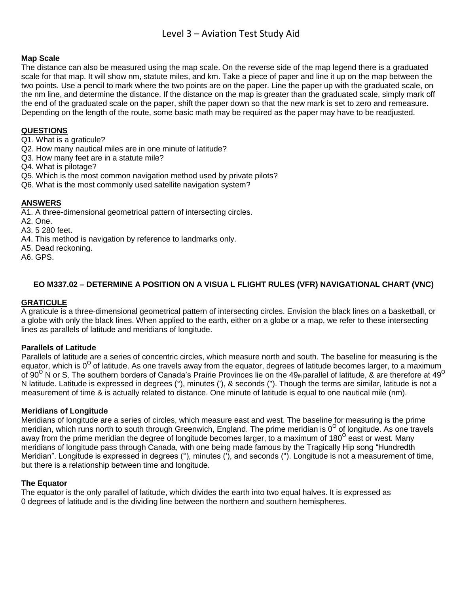#### **Map Scale**

The distance can also be measured using the map scale. On the reverse side of the map legend there is a graduated scale for that map. It will show nm, statute miles, and km. Take a piece of paper and line it up on the map between the two points. Use a pencil to mark where the two points are on the paper. Line the paper up with the graduated scale, on the nm line, and determine the distance. If the distance on the map is greater than the graduated scale, simply mark off the end of the graduated scale on the paper, shift the paper down so that the new mark is set to zero and remeasure. Depending on the length of the route, some basic math may be required as the paper may have to be readjusted.

#### **QUESTIONS**

Q1. What is a graticule?

- Q2. How many nautical miles are in one minute of latitude?
- Q3. How many feet are in a statute mile?
- Q4. What is pilotage?
- Q5. Which is the most common navigation method used by private pilots?
- Q6. What is the most commonly used satellite navigation system?

#### **ANSWERS**

A1. A three-dimensional geometrical pattern of intersecting circles.

- A2. One.
- A3. 5 280 feet.
- A4. This method is navigation by reference to landmarks only.
- A5. Dead reckoning.
- A6. GPS.

# **EO M337.02 – DETERMINE A POSITION ON A VISUA L FLIGHT RULES (VFR) NAVIGATIONAL CHART (VNC)**

#### **GRATICULE**

A graticule is a three-dimensional geometrical pattern of intersecting circles. Envision the black lines on a basketball, or a globe with only the black lines. When applied to the earth, either on a globe or a map, we refer to these intersecting lines as parallels of latitude and meridians of longitude.

#### **Parallels of Latitude**

Parallels of latitude are a series of concentric circles, which measure north and south. The baseline for measuring is the equator, which is 0<sup>O</sup> of latitude. As one travels away from the equator, degrees of latitude becomes larger, to a maximum of 90<sup>O</sup> N or S. The southern borders of Canada's Prairie Provinces lie on the 49th parallel of latitude, & are therefore at 49<sup>O</sup> N latitude. Latitude is expressed in degrees (°), minutes ('), & seconds ("). Though the terms are similar, latitude is not a measurement of time & is actually related to distance. One minute of latitude is equal to one nautical mile (nm).

#### **Meridians of Longitude**

Meridians of longitude are a series of circles, which measure east and west. The baseline for measuring is the prime meridian, which runs north to south through Greenwich, England. The prime meridian is 0<sup>0</sup> of longitude. As one travels away from the prime meridian the degree of longitude becomes larger, to a maximum of 180<sup>0</sup> east or west. Many meridians of longitude pass through Canada, with one being made famous by the Tragically Hip song "Hundredth Meridian". Longitude is expressed in degrees (°), minutes ('), and seconds ("). Longitude is not a measurement of time, but there is a relationship between time and longitude.

#### **The Equator**

The equator is the only parallel of latitude, which divides the earth into two equal halves. It is expressed as 0 degrees of latitude and is the dividing line between the northern and southern hemispheres.